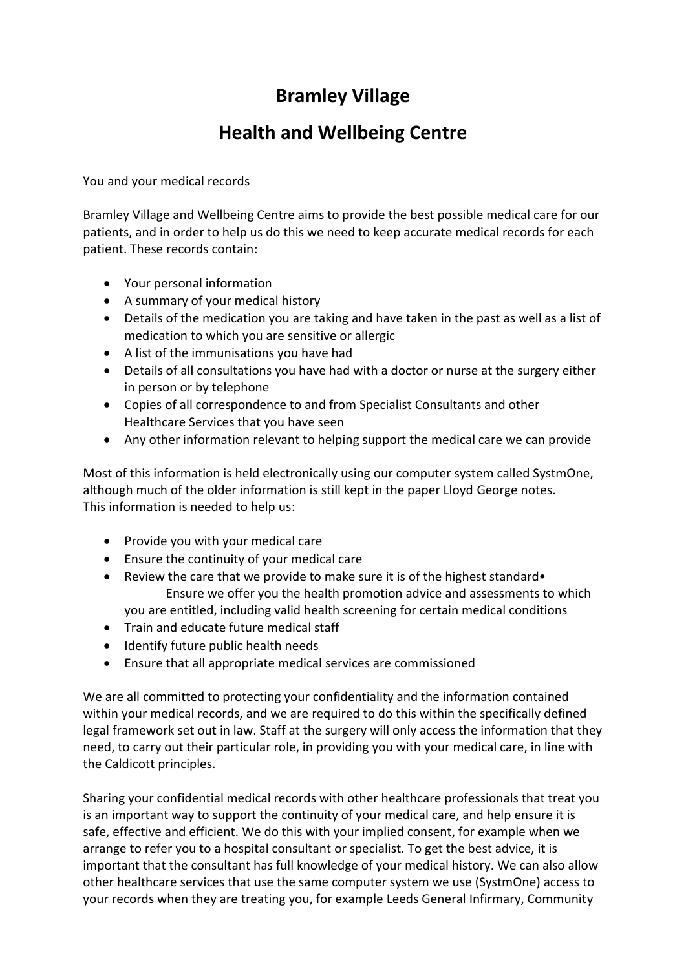## **Bramley Village**

## **Health and Wellbeing Centre**

You and your medical records

Bramley Village and Wellbeing Centre aims to provide the best possible medical care for our patients, and in order to help us do this we need to keep accurate medical records for each patient. These records contain:

- Your personal information
- A summary of your medical history
- Details of the medication you are taking and have taken in the past as well as a list of medication to which you are sensitive or allergic
- A list of the immunisations you have had
- Details of all consultations you have had with a doctor or nurse at the surgery either in person or by telephone
- Copies of all correspondence to and from Specialist Consultants and other Healthcare Services that you have seen
- Any other information relevant to helping support the medical care we can provide

Most of this information is held electronically using our computer system called SystmOne, although much of the older information is still kept in the paper Lloyd George notes. This information is needed to help us:

- Provide you with your medical care
- Ensure the continuity of your medical care
- Review the care that we provide to make sure it is of the highest standard Ensure we offer you the health promotion advice and assessments to which you are entitled, including valid health screening for certain medical conditions
- Train and educate future medical staff
- Identify future public health needs
- Ensure that all appropriate medical services are commissioned

We are all committed to protecting your confidentiality and the information contained within your medical records, and we are required to do this within the specifically defined legal framework set out in law. Staff at the surgery will only access the information that they need, to carry out their particular role, in providing you with your medical care, in line with the Caldicott principles.

Sharing your confidential medical records with other healthcare professionals that treat you is an important way to support the continuity of your medical care, and help ensure it is safe, effective and efficient. We do this with your implied consent, for example when we arrange to refer you to a hospital consultant or specialist. To get the best advice, it is important that the consultant has full knowledge of your medical history. We can also allow other healthcare services that use the same computer system we use (SystmOne) access to your records when they are treating you, for example Leeds General Infirmary, Community